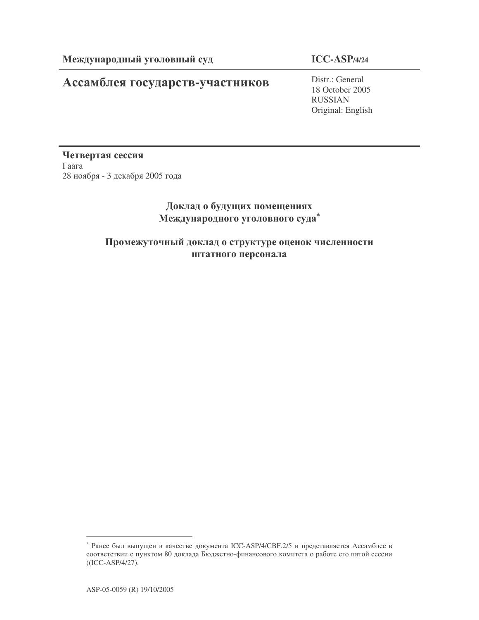# Ассамблея государств-участников

# **ICC-ASP/4/24**

Distr.: General 18 October 2005 RUSSIAN Original: English

Четвертая сессия  $\Gamma$ aara 28 ноября - 3 декабря 2005 года

# Доклад о будущих помещениях Международного уголовного суда<sup>\*</sup>

# Промежуточный доклад о структуре оценок численности штатного персонала

<sup>\*</sup> Ранее был выпущен в качестве документа ICC-ASP/4/CBF.2/5 и представляется Ассамблее в соответствии с пунктом 80 доклада Бюджетно-финансового комитета о работе его пятой сессии ((ICC-ASP/4/27).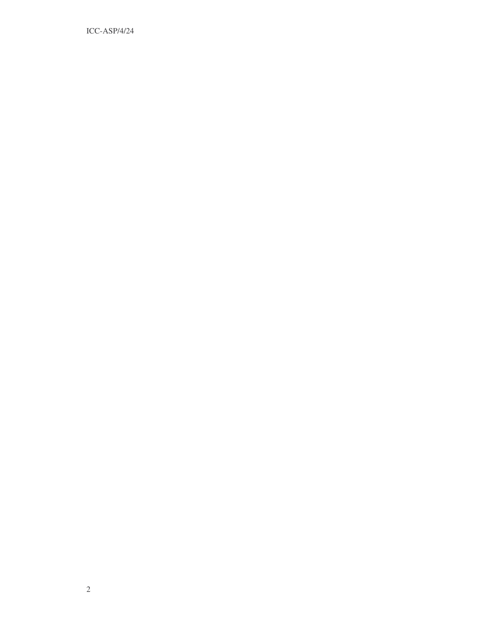ICC-ASP/4/24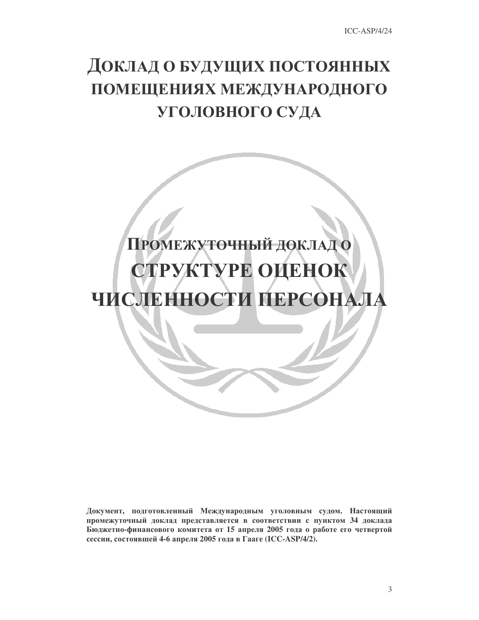# ДОКЛАД О БУДУЩИХ ПОСТОЯННЫХ ПОМЕЩЕНИЯХ МЕЖДУНАРОДНОГО УГОЛОВНОГО СУДА



Документ, подготовленный Международным уголовным судом. Настоящий промежуточный доклад представляется в соответствии с пунктом 34 доклада Бюджетно-финансового комитета от 15 апреля 2005 года о работе его четвертой сессии, состоявшей 4-6 апреля 2005 года в Гааге (ICC-ASP/4/2).

 $\overline{3}$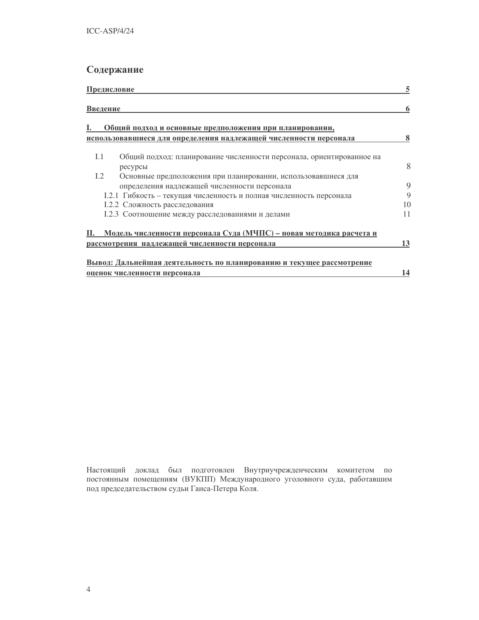# Содержание

| Предисловие                                                                                                                                                   | 5        |
|---------------------------------------------------------------------------------------------------------------------------------------------------------------|----------|
| Введение                                                                                                                                                      | 6        |
| Общий подход и основные предположения при планировании,                                                                                                       |          |
| использовавшиеся для определения надлежащей численности персонала                                                                                             | 8        |
| L1<br>Общий подход: планирование численности персонала, ориентированное на<br>ресурсы<br>1.2<br>Основные предположения при планировании, использовавшиеся для | 8        |
| определения надлежащей численности персонала                                                                                                                  | 9<br>9   |
| I.2.1 Гибкость - текущая численность и полная численность персонала<br>I.2.2 Сложность расследования                                                          | 10<br>11 |
| I.2.3 Соотношение между расследованиями и делами                                                                                                              |          |
| Модель численности персонала Суда (МЧПС) - новая методика расчета и<br>П.<br>рассмотрения надлежащей численности персонала                                    | 13       |
| Вывод: Дальнейшая деятельность по планированию и текущее рассмотрение<br>оценок численности персонала                                                         | 14       |

Настоящий доклад был подготовлен Внутриучрежденческим комитетом по постоянным помещениям (ВУКПП) Международного уголовного суда, работавшим под председательством судьи Ганса-Петера Коля.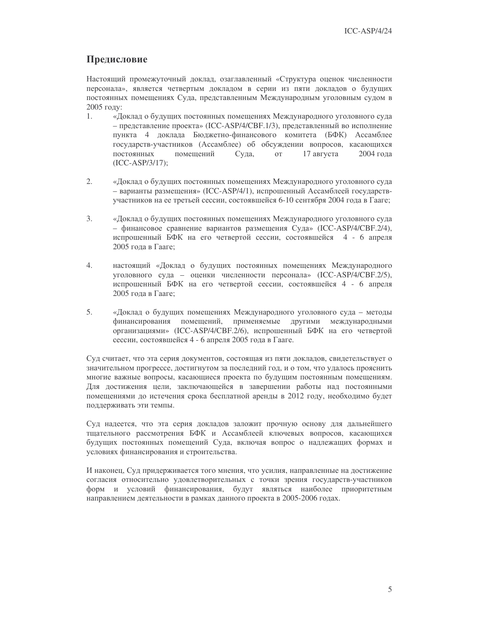# Предисловие

Настоящий промежуточный доклад, озаглавленный «Структура оценок численности персонала», является четвертым докладом в серии из пяти докладов о будущих постоянных помещениях Суда, представленным Международным уголовным судом в 2005 году:

- $1<sub>1</sub>$ «Доклад о будущих постоянных помещениях Международного уголовного суда - представление проекта» (ICC-ASP/4/CBF.1/3), представленный во исполнение пункта 4 доклада Бюджетно-финансового комитета (БФК) Ассамблее государств-участников (Ассамблее) об обсуждении вопросов, касающихся постоянных помешений Суда,  $\overline{O}$ 17 августа 2004 гола  $(ICC-ASP/3/17);$
- 2. «Доклад о будущих постоянных помещениях Международного уголовного суда - варианты размещения» (ICC-ASP/4/1), испрошенный Ассамблеей государствучастников на ее третьей сессии, состоявшейся 6-10 сентября 2004 года в Гааге;
- $3.$ «Доклад о будущих постоянных помещениях Международного уголовного суда - финансовое сравнение вариантов размещения Суда» (ICC-ASP/4/CBF.2/4), испрошенный БФК на его четвертой сессии, состоявшейся 4 - 6 апреля 2005 года в Гааге:
- $\overline{4}$ настоящий «Доклад о будущих постоянных помещениях Международного уголовного суда - оценки численности персонала» (ICC-ASP/4/CBF.2/5), испрошенный БФК на его четвертой сессии, состоявшейся 4 - 6 апреля 2005 года в Гааге;
- $5<sub>1</sub>$ «Доклад о будущих помещениях Международного уголовного суда – методы финансирования помещений, применяемые другими международными организациями» (ICC-ASP/4/CBF.2/6), испрошенный БФК на его четвертой сессии, состоявшейся 4 - 6 апреля 2005 года в Гааге.

Суд считает, что эта серия документов, состоящая из пяти докладов, свидетельствует о значительном прогрессе, достигнутом за последний год, и о том, что удалось прояснить многие важные вопросы, касающиеся проекта по будущим постоянным помещениям. Для достижения цели, заключающейся в завершении работы над постоянными помещениями до истечения срока бесплатной аренды в 2012 году, необходимо будет поддерживать эти темпы.

Суд надеется, что эта серия докладов заложит прочную основу для дальнейшего тщательного рассмотрения БФК и Ассамблеей ключевых вопросов, касающихся будущих постоянных помещений Суда, включая вопрос о надлежащих формах и условиях финансирования и строительства.

И наконец, Суд придерживается того мнения, что усилия, направленные на достижение согласия относительно удовлетворительных с точки зрения государств-участников форм и условий финансирования, будут являться наиболее приоритетным направлением деятельности в рамках данного проекта в 2005-2006 годах.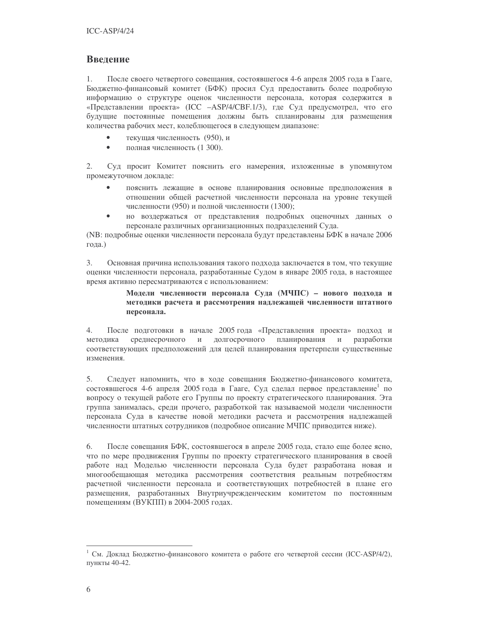# Введение

После своего четвертого совещания, состоявшегося 4-6 апреля 2005 года в Гааге,  $1_{-}$ Бюджетно-финансовый комитет (БФК) просил Суд предоставить более подробную информацию о структуре оценок численности персонала, которая содержится в «Представлении проекта» (ICC -ASP/4/CBF.1/3), где Суд предусмотрел, что его будущие постоянные помещения должны быть спланированы для размещения количества рабочих мест, колеблющегося в следующем диапазоне:

- $\bullet$ текущая численность (950), и
- полная численность (1 300).  $\bullet$

2. Суд просит Комитет пояснить его намерения, изложенные в упомянутом промежуточном докладе:

- пояснить лежащие в основе планирования основные предположения в отношении общей расчетной численности персонала на уровне текущей численности (950) и полной численности (1300);
- но воздержаться от представления подробных оценочных данных о персонале различных организационных подразделений Суда.

(NB: подробные оценки численности персонала будут представлены БФК в начале 2006  $\Gamma$ ола.)

3. Основная причина использования такого подхода заключается в том, что текущие оценки численности персонала, разработанные Судом в январе 2005 года, в настоящее время активно пересматриваются с использованием:

## Модели численности персонала Суда (МЧПС) - нового подхода и методики расчета и рассмотрения надлежащей численности штатного персонала.

4. После подготовки в начале 2005 года «Представления проекта» подход и среднесрочного долгосрочного планирования методика  $\mathbf{M}$ разработки соответствующих предположений для целей планирования претерпели существенные изменения.

5. Следует напомнить, что в ходе совещания Бюджетно-финансового комитета, состоявшегося 4-6 апреля 2005 года в Гааге, Суд сделал первое представление по вопросу о текущей работе его Группы по проекту стратегического планирования. Эта группа занималась, среди прочего, разработкой так называемой модели численности персонала Суда в качестве новой методики расчета и рассмотрения надлежащей численности штатных сотрудников (подробное описание МЧПС приводится ниже).

6. После совещания БФК, состоявшегося в апреле 2005 года, стало еще более ясно, что по мере продвижения Группы по проекту стратегического планирования в своей работе над Моделью численности персонала Суда будет разработана новая и многообещающая методика рассмотрения соответствия реальным потребностям расчетной численности персонала и соответствующих потребностей в плане его размещения, разработанных Внутриучрежденческим комитетом по постоянным помешениям (ВУКПП) в 2004-2005 годах.

<sup>&</sup>lt;sup>1</sup> См. Доклад Бюджетно-финансового комитета о работе его четвертой сессии (ICC-ASP/4/2), пункты 40-42.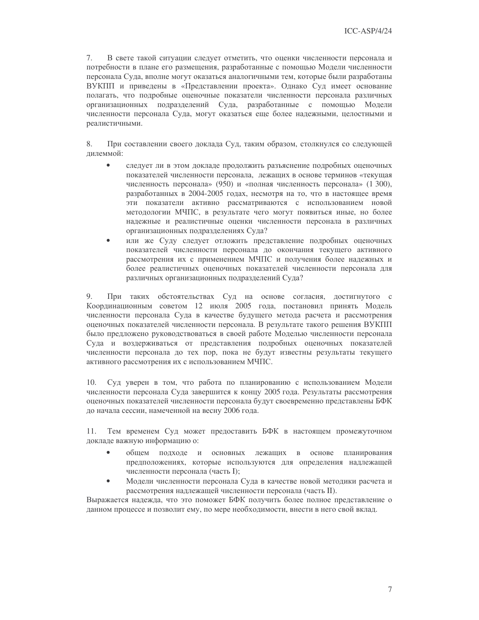7. В свете такой ситуации следует отметить, что оценки численности персонала и потребности в плане его размещения, разработанные с помощью Модели численности персонала Суда, вполне могут оказаться аналогичными тем, которые были разработаны ВУКПП и приведены в «Представлении проекта». Однако Суд имеет основание полагать, что подробные оценочные показатели численности персонала различных организационных подразделений Суда, разработанные с помощью Модели численности персонала Суда, могут оказаться еще более надежными, целостными и реалистичными.

8. При составлении своего доклада Суд, таким образом, столкнулся со следующей дилеммой:

- следует ли в этом докладе продолжить разъяснение подробных оценочных показателей численности персонала, лежащих в основе терминов «текущая численность персонала» (950) и «полная численность персонала» (1 300), разработанных в 2004-2005 годах, несмотря на то, что в настоящее время эти показатели активно рассматриваются с использованием новой методологии МЧПС, в результате чего могут появиться иные, но более надежные и реалистичные оценки численности персонала в различных организационных подразделениях Суда?
- $\bullet$ или же Суду следует отложить представление подробных оценочных показателей численности персонала до окончания текущего активного рассмотрения их с применением МЧПС и получения более надежных и более реалистичных оценочных показателей численности персонала для различных организационных подразделений Суда?

9. При таких обстоятельствах Суд на основе согласия, достигнутого с Координационным советом 12 июля 2005 года, постановил принять Модель численности персонала Суда в качестве будущего метода расчета и рассмотрения оценочных показателей численности персонала. В результате такого решения ВУКПП было предложено руководствоваться в своей работе Моделью численности персонала Суда и воздерживаться от представления подробных оценочных показателей численности персонала до тех пор, пока не будут известны результаты текущего активного рассмотрения их с использованием МЧПС.

Суд уверен в том, что работа по планированию с использованием Модели 10. численности персонала Суда завершится к концу 2005 года. Результаты рассмотрения оценочных показателей численности персонала будут своевременно представлены БФК до начала сессии, намеченной на весну 2006 года.

Тем временем Суд может предоставить БФК в настоящем промежуточном 11. докладе важную информацию о:

- общем подходе и основных лежащих в основе планирования предположениях, которые используются для определения надлежащей численности персонала (часть I);
- $\bullet$ Модели численности персонала Суда в качестве новой методики расчета и рассмотрения надлежащей численности персонала (часть II).

Выражается надежда, что это поможет БФК получить более полное представление о данном процессе и позволит ему, по мере необходимости, внести в него свой вклад.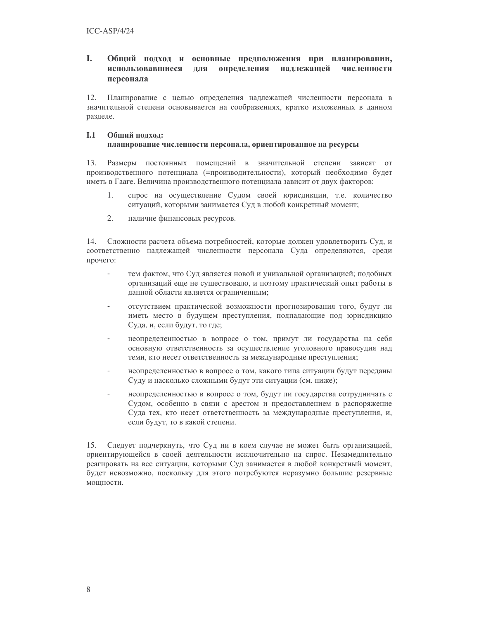#### $\mathbf{L}$ Общий подход и основные предположения при планировании, использовавшиеся ДЛЯ определения надлежащей численности персонала

12. Планирование с целью определения надлежащей численности персонала в значительной степени основывается на соображениях, кратко изложенных в данном разделе.

### $I.1$ Обший полхол: планирование численности персонала, ориентированное на ресурсы

Размеры постоянных помещений в значительной степени зависят от 13. производственного потенциала (=производительности), который необходимо будет иметь в Гааге. Величина производственного потенциала зависит от двух факторов:

- $\mathbf{1}$ спрос на осуществление Судом своей юрисдикции, т.е. количество ситуаций, которыми занимается Суд в любой конкретный момент;
- $\overline{2}$ . наличие финансовых ресурсов.

14. Сложности расчета объема потребностей, которые должен удовлетворить Суд, и соответственно надлежащей численности персонала Суда определяются, среди прочего:

- тем фактом, что Суд является новой и уникальной организацией; подобных организаций еще не существовало, и поэтому практический опыт работы в данной области является ограниченным;
- отсутствием практической возможности прогнозирования того, будут ли иметь место в будущем преступления, подпадающие под юрисдикцию Суда, и, если будут, то где;
- неопределенностью в вопросе о том, примут ли государства на себя основную ответственность за осуществление уголовного правосудия над теми, кто несет ответственность за международные преступления;
- неопределенностью в вопросе о том, какого типа ситуации будут переданы Суду и насколько сложными будут эти ситуации (см. ниже);
- неопределенностью в вопросе о том, будут ли государства сотрудничать с Судом, особенно в связи с арестом и предоставлением в распоряжение Суда тех, кто несет ответственность за международные преступления, и, если будут, то в какой степени.

15. Следует подчеркнуть, что Суд ни в коем случае не может быть организацией, ориентирующейся в своей деятельности исключительно на спрос. Незамедлительно реагировать на все ситуации, которыми Суд занимается в любой конкретный момент, будет невозможно, поскольку для этого потребуются неразумно большие резервные мошности.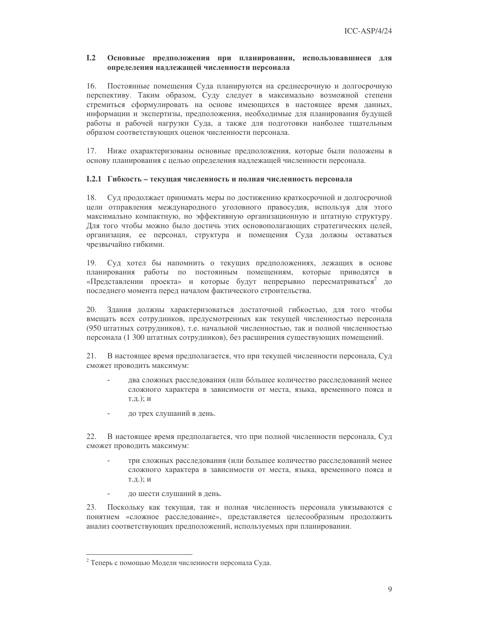### $L<sub>2</sub>$ Основные предположения при планировании, использовавшиеся для определения надлежащей численности персонала

16. Постоянные помещения Суда планируются на среднесрочную и долгосрочную перспективу. Таким образом, Суду следует в максимально возможной степени стремиться сформулировать на основе имеющихся в настоящее время данных, информации и экспертизы, предположения, необходимые для планирования будущей работы и рабочей нагрузки Суда, а также для подготовки наиболее тщательным образом соответствующих оценок численности персонала.

Ниже охарактеризованы основные предположения, которые были положены в  $17<sub>1</sub>$ основу планирования с целью определения надлежащей численности персонала.

### 1.2.1 Гибкость - текущая численность и полная численность персонала

Суд продолжает принимать меры по достижению краткосрочной и долгосрочной 18. цели отправления международного уголовного правосудия, используя для этого максимально компактную, но эффективную организационную и штатную структуру. Для того чтобы можно было достичь этих основополагающих стратегических целей, организация, ее персонал, структура и помещения Суда должны оставаться чрезвычайно гибкими.

Суд хотел бы напомнить о текущих предположениях, лежащих в основе 19. планирования работы по постоянным помещениям, которые приводятся в «Представлении проекта» и которые будут непрерывно пересматриваться<sup>2</sup> до последнего момента перед началом фактического строительства.

20. Здания должны характеризоваться достаточной гибкостью, для того чтобы вмещать всех сотрудников, предусмотренных как текущей численностью персонала (950 штатных сотрудников), т.е. начальной численностью, так и полной численностью персонала (1 300 штатных сотрудников), без расширения существующих помещений.

В настоящее время предполагается, что при текущей численности персонала, Суд 21. сможет проводить максимум:

- лва сложных расследования (или бо́льшее количество расследований менее сложного характера в зависимости от места, языка, временного пояса и т.д.); и
- до трех слушаний в день.

22. В настоящее время предполагается, что при полной численности персонала, Суд сможет проводить максимум:

- три сложных расследования (или большее количество расследований менее сложного характера в зависимости от места, языка, временного пояса и т.д.); и
- до шести слушаний в день.

Поскольку как текущая, так и полная численность персонала увязываются с 23. понятием «сложное расследование», представляется целесообразным продолжить анализ соответствующих предположений, используемых при планировании.

<sup>&</sup>lt;sup>2</sup> Теперь с помощью Модели численности персонала Суда.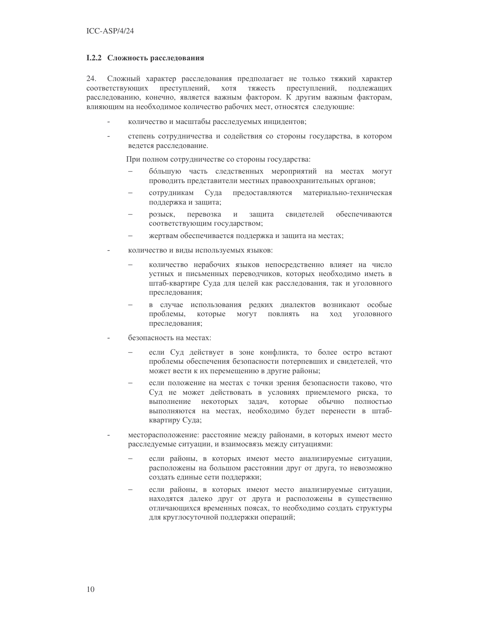### **I.2.2 Сложность расследования**

24. Сложный характер расследования предполагает не только тяжкий характер преступлений, **XOTA** тяжесть преступлений, соответствующих подлежащих расследованию, конечно, является важным фактором. К другим важным факторам, влияющим на необходимое количество рабочих мест, относятся следующие:

- количество и масштабы расследуемых инцидентов;
- степень сотрудничества и содействия со стороны государства, в котором ведется расследование.

При полном сотрудничестве со стороны государства:

- большую часть следственных мероприятий на местах могут проводить представители местных правоохранительных органов;
- Суда предоставляются материально-техническая сотрудникам поддержка и защита;
- розыск, перевозка  $\mathbf{M}$ защита свидетелей обеспечиваются соответствующим государством;
- жертвам обеспечивается поддержка и защита на местах;
- количество и виды используемых языков:
	- количество нерабочих языков непосредственно влияет на число устных и письменных переводчиков, которых необходимо иметь в штаб-квартире Суда для целей как расследования, так и уголовного преследования;
	- в случае использования редких диалектов возникают особые проблемы, которые могут повлиять на ход уголовного преследования;
- безопасность на местах:
	- если Суд действует в зоне конфликта, то более остро встают проблемы обеспечения безопасности потерпевших и свидетелей, что может вести к их перемещению в другие районы;
	- если положение на местах с точки зрения безопасности таково, что Суд не может действовать в условиях приемлемого риска, то выполнение некоторых задач, которые обычно полностью выполняются на местах, необходимо будет перенести в штабквартиру Суда;
- месторасположение: расстояние между районами, в которых имеют место расследуемые ситуации, и взаимосвязь между ситуациями:
	- если районы, в которых имеют место анализируемые ситуации, расположены на большом расстоянии друг от друга, то невозможно создать единые сети поддержки;
	- если районы, в которых имеют место анализируемые ситуации, находятся далеко друг от друга и расположены в существенно отличающихся временных поясах, то необходимо создать структуры для круглосуточной поддержки операций;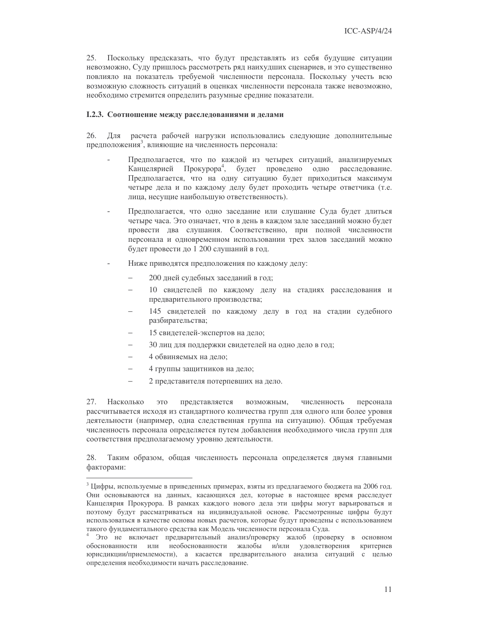25. Поскольку предсказать, что будут представлять из себя будущие ситуации невозможно, Суду пришлось рассмотреть ряд наихудших сценариев, и это существенно повлияло на показатель требуемой численности персонала. Поскольку учесть всю возможную сложность ситуаций в оценках численности персонала также невозможно, необходимо стремится определить разумные средние показатели.

### 1.2.3. Соотношение между расследованиями и делами

26 Для расчета рабочей нагрузки использовались следующие дополнительные предположения<sup>3</sup>, влияющие на численность персонала:

- Предполагается, что по каждой из четырех ситуаций, анализируемых Канцелярией Прокурора<sup>4</sup>, будет проведено одно расследование. Предполагается, что на одну ситуацию будет приходиться максимум четыре дела и по каждому делу будет проходить четыре ответчика (т.е. лица, несущие наибольшую ответственность).
- Предполагается, что одно заседание или слушание Суда будет длиться четыре часа. Это означает, что в день в каждом зале заседаний можно будет провести два слушания. Соответственно, при полной численности персонала и одновременном использовании трех залов заседаний можно будет провести до 1 200 слушаний в год.
- Ниже приводятся предположения по каждому делу:
	- 200 дней судебных заседаний в год:
	- 10 свидетелей по каждому делу на стадиях расследования и предварительного производства;
	- 145 свидетелей по каждому делу в год на стадии судебного разбирательства;
	- 15 свидетелей-экспертов на дело;
	- 30 лиц для поддержки свидетелей на одно дело в год;
	- 4 обвиняемых на дело;
	- $\equiv$ 4 группы защитников на дело;
	- 2 представителя потерпевших на дело.

Насколько 27. ЭТО представляется возможным, численность персонала рассчитывается исходя из стандартного количества групп для одного или более уровня деятельности (например, одна следственная группа на ситуацию). Общая требуемая численность персонала определяется путем добавления необходимого числа групп для соответствия предполагаемому уровню деятельности.

Таким образом, общая численность персонала определяется двумя главными 28. факторами:

<sup>&</sup>lt;sup>3</sup> Цифры, используемые в приведенных примерах, взяты из предлагаемого бюджета на 2006 год. Они основываются на данных, касающихся дел, которые в настоящее время расследует Канцелярия Прокурора. В рамках каждого нового дела эти цифры могут варьироваться и поэтому будут рассматриваться на индивидуальной основе. Рассмотренные цифры будут использоваться в качестве основы новых расчетов, которые будут проведены с использованием такого фундаментального средства как Модель численности персонала Суда.

Это не включает предварительный анализ/проверку жалоб (проверку в основном обоснованности или необоснованности жалобы и/или удовлетворения критериев юрисдикции/приемлемости), а касается предварительного анализа ситуаций с целью определения необходимости начать расследование.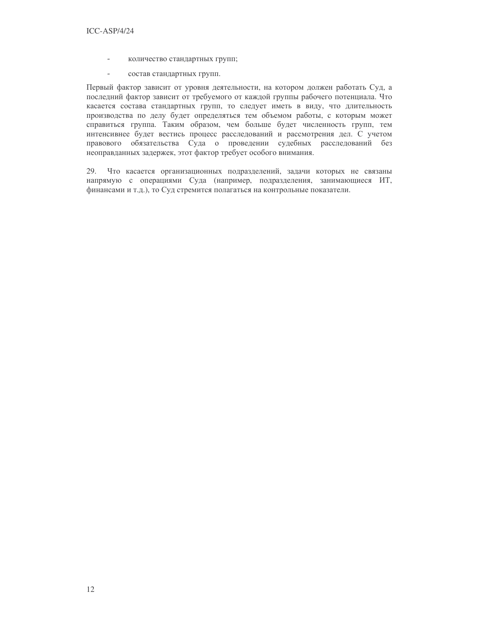- количество стандартных групп;  $\overline{a}$
- $\overline{a}$ состав стандартных групп.

Первый фактор зависит от уровня деятельности, на котором должен работать Суд, а последний фактор зависит от требуемого от каждой группы рабочего потенциала. Что касается состава стандартных групп, то следует иметь в виду, что длительность производства по делу будет определяться тем объемом работы, с которым может справиться группа. Таким образом, чем больше будет численность групп, тем интенсивнее будет вестись процесс расследований и рассмотрения дел. С учетом правового обязательства Суда о проведении судебных расследований без неоправданных задержек, этот фактор требует особого внимания.

29. Что касается организационных подразделений, задачи которых не связаны напрямую с операциями Суда (например, подразделения, занимающиеся ИТ, финансами и т.д.), то Суд стремится полагаться на контрольные показатели.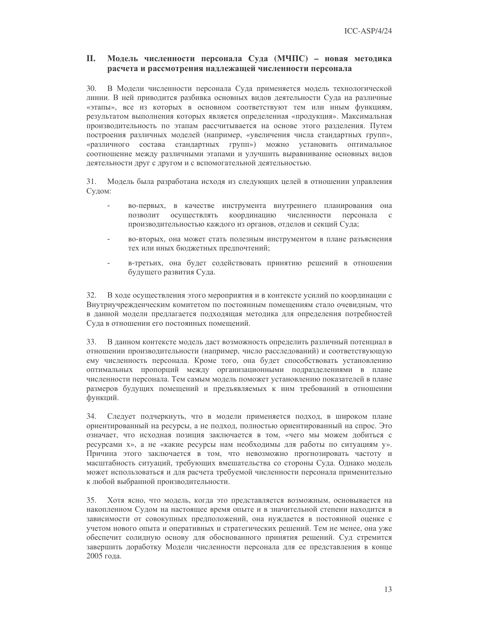### $\Pi$ . Модель численности персонала Суда (МЧПС) - новая методика расчета и рассмотрения надлежащей численности персонала

30. В Модели численности персонала Суда применяется модель технологической линии. В ней приводится разбивка основных видов деятельности Суда на различные «этапы», все из которых в основном соответствуют тем или иным функциям, результатом выполнения которых является определенная «продукция». Максимальная производительность по этапам рассчитывается на основе этого разделения. Путем построения различных моделей (например, «увеличения числа стандартных групп», «различного состава стандартных групп») можно установить оптимальное соотношение между различными этапами и улучшить выравнивание основных видов деятельности друг с другом и с вспомогательной деятельностью.

31. Модель была разработана исходя из следующих целей в отношении управления Судом:

- во-первых, в качестве инструмента внутреннего планирования она позволит осуществлять координацию численности персонала  $\mathcal{C}$ производительностью каждого из органов, отделов и секций Суда;
- во-вторых, она может стать полезным инструментом в плане разъяснения тех или иных бюджетных предпочтений;
- в-третьих, она будет содействовать принятию решений в отношении будущего развития Суда.

32. В ходе осуществления этого мероприятия и в контексте усилий по координации с Внутриучрежденческим комитетом по постоянным помещениям стало очевидным, что в данной модели предлагается подходящая методика для определения потребностей Суда в отношении его постоянных помещений.

33. В данном контексте модель даст возможность определить различный потенциал в отношении производительности (например, число расследований) и соответствующую ему численность персонала. Кроме того, она будет способствовать установлению оптимальных пропорций между организационными подразделениями в плане численности персонала. Тем самым модель поможет установлению показателей в плане размеров будущих помещений и предъявляемых к ним требований в отношении функций.

34. Следует подчеркнуть, что в модели применяется подход, в широком плане ориентированный на ресурсы, а не подход, полностью ориентированный на спрос. Это означает, что исходная позиция заключается в том, «чего мы можем добиться с ресурсами х», а не «какие ресурсы нам необходимы для работы по ситуациям у». Причина этого заключается в том, что невозможно прогнозировать частоту и масштабность ситуаций, требующих вмешательства со стороны Суда. Однако модель может использоваться и для расчета требуемой численности персонала применительно к любой выбранной производительности.

35. Хотя ясно, что модель, когда это представляется возможным, основывается на накопленном Судом на настоящее время опыте и в значительной степени находится в зависимости от совокупных предположений, она нуждается в постоянной оценке с учетом нового опыта и оперативных и стратегических решений. Тем не менее, она уже обеспечит солидную основу для обоснованного принятия решений. Суд стремится завершить доработку Модели численности персонала для ее представления в конце 2005 года.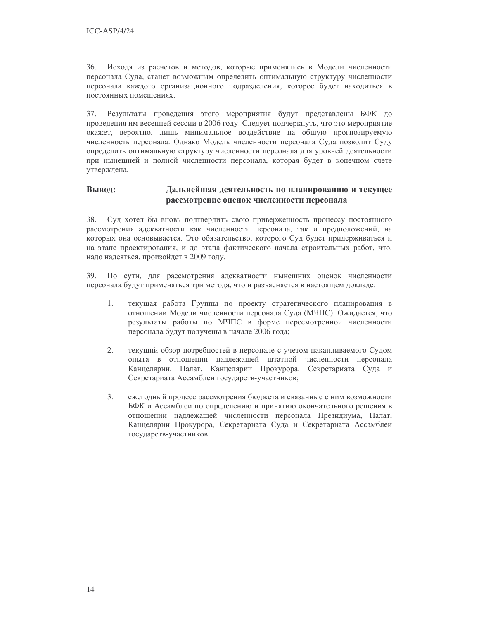Исходя из расчетов и методов, которые применялись в Модели численности 36. персонала Суда, станет возможным определить оптимальную структуру численности персонала каждого организационного подразделения, которое будет находиться в постоянных помещениях.

37 Результаты проведения этого мероприятия будут представлены БФК до проведения им весенней сессии в 2006 году. Следует подчеркнуть, что это мероприятие окажет, вероятно, лишь минимальное воздействие на общую прогнозируемую численность персонала. Однако Модель численности персонала Суда позволит Суду определить оптимальную структуру численности персонала для уровней деятельности при нынешней и полной численности персонала, которая будет в конечном счете утверждена.

### Вывод: Дальнейшая деятельность по планированию и текущее рассмотрение оценок численности персонала

38 Суд хотел бы вновь подтвердить свою приверженность процессу постоянного рассмотрения адекватности как численности персонала, так и предположений, на которых она основывается. Это обязательство, которого Суд будет придерживаться и на этапе проектирования, и до этапа фактического начала строительных работ, что, надо надеяться, произойдет в 2009 году.

39. По сути, для рассмотрения адекватности нынешних оценок численности персонала будут применяться три метода, что и разъясняется в настоящем докладе:

- текущая работа Группы по проекту стратегического планирования в  $1<sub>1</sub>$ отношении Модели численности персонала Суда (МЧПС). Ожидается, что результаты работы по МЧПС в форме пересмотренной численности персонала будут получены в начале 2006 года;
- $2.$ текущий обзор потребностей в персонале с учетом накапливаемого Судом опыта в отношении надлежащей штатной численности персонала Канцелярии, Палат, Канцелярии Прокурора, Секретариата Суда и Секретариата Ассамблеи государств-участников;
- $3.$ ежегодный процесс рассмотрения бюджета и связанные с ним возможности БФК и Ассамблеи по определению и принятию окончательного решения в отношении надлежащей численности персонала Президиума, Палат, Канцелярии Прокурора, Секретариата Суда и Секретариата Ассамблеи государств-участников.